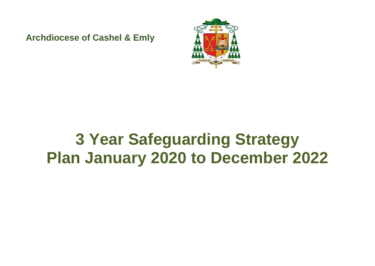**Archdiocese of Cashel & Emly**



# **3 Year Safeguarding Strategy Plan January 2020 to December 2022**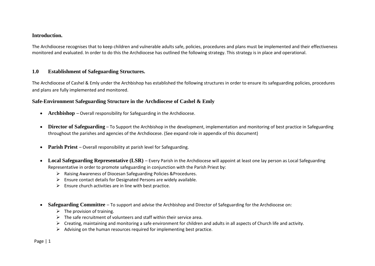#### **Introduction.**

The Archdiocese recognises that to keep children and vulnerable adults safe, policies, procedures and plans must be implemented and their effectiveness monitored and evaluated. In order to do this the Archdiocese has outlined the following strategy. This strategy is in place and operational.

# **1.0 Establishment of Safeguarding Structures.**

The Archdiocese of Cashel & Emly under the Archbishop has established the following structures in order to ensure its safeguarding policies, procedures and plans are fully implemented and monitored.

# **Safe-Environment Safeguarding Structure in the Archdiocese of Cashel & Emly**

- **Archbishop** Overall responsibility for Safeguarding in the Archdiocese.
- **Director of Safeguarding** To Support the Archbishop in the development, implementation and monitoring of best practice in Safeguarding throughout the parishes and agencies of the Archdiocese. (See expand role in appendix of this document)
- **Parish Priest** Overall responsibility at parish level for Safeguarding.
- **Local Safeguarding Representative (LSR)** Every Parish in the Archdiocese will appoint at least one lay person as Local Safeguarding Representative in order to promote safeguarding in conjunction with the Parish Priest by:
	- ➢ Raising Awareness of Diocesan Safeguarding Policies &Procedures.
	- ➢ Ensure contact details for Designated Persons are widely available.
	- $\triangleright$  Ensure church activities are in line with best practice.
- **Safeguarding Committee** To support and advise the Archbishop and Director of Safeguarding for the Archdiocese on:
	- $\triangleright$  The provision of training.
	- $\triangleright$  The safe recruitment of volunteers and staff within their service area.
	- $\triangleright$  Creating, maintaining and monitoring a safe environment for children and adults in all aspects of Church life and activity.
	- ➢ Advising on the human resources required for implementing best practice.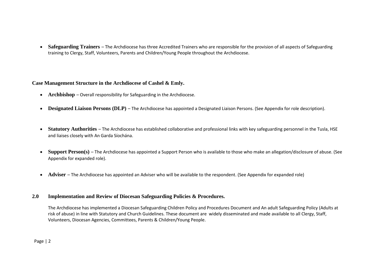• **Safeguarding Trainers** – The Archdiocese has three Accredited Trainers who are responsible for the provision of all aspects of Safeguarding training to Clergy, Staff, Volunteers, Parents and Children/Young People throughout the Archdiocese.

**Case Management Structure in the Archdiocese of Cashel & Emly.**

- **Archbishop** Overall responsibility for Safeguarding in the Archdiocese.
- **Designated Liaison Persons (DLP)** The Archdiocese has appointed a Designated Liaison Persons. (See Appendix for role description).
- **Statutory Authorities** The Archdiocese has established collaborative and professional links with key safeguarding personnel in the Tusla, HSE and liaises closely with An Garda Síochána.
- **Support Person(s)** The Archdiocese has appointed a Support Person who is available to those who make an allegation/disclosure of abuse. (See Appendix for expanded role).
- **Adviser** The Archdiocese has appointed an Adviser who will be available to the respondent. (See Appendix for expanded role)

#### **2.0 Implementation and Review of Diocesan Safeguarding Policies & Procedures.**

The Archdiocese has implemented a Diocesan Safeguarding Children Policy and Procedures Document and An adult Safeguarding Policy (Adults at risk of abuse) in line with Statutory and Church Guidelines. These document are widely disseminated and made available to all Clergy, Staff, Volunteers, Diocesan Agencies, Committees, Parents & Children/Young People.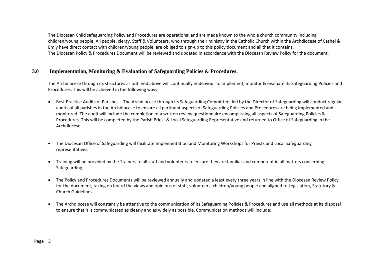The Diocesan Child safeguarding Policy and Procedures are operational and are made known to the whole church community including children/young people. All people, clergy, Staff & Volunteers, who through their ministry in the Catholic Church within the Archdiocese of Cashel & Emly have direct contact with children/young people, are obliged to sign-up to this policy document and all that it contains. The Diocesan Policy & Procedures Document will be reviewed and updated in accordance with the Diocesan Review Policy for the document.

# **3.0 Implementation, Monitoring & Evaluation of Safeguarding Policies & Procedures.**

The Archdiocese through its structures as outlined above will continually endeavour to implement, monitor & evaluate its Safeguarding Policies and Procedures. This will be achieved in the following ways:

- Best Practice Audits of Parishes The Archdiocese through its Safeguarding Committee, led by the Director of Safeguarding will conduct regular audits of all parishes in the Archdiocese to ensure all pertinent aspects of Safeguarding Policies and Procedures are being implemented and monitored. The audit will include the completion of a written review questionnaire encompassing all aspects of Safeguarding Policies & Procedures. This will be completed by the Parish Priest & Local Safeguarding Representative and returned to Office of Safeguarding in the Archdiocese.
- The Diocesan Office of Safeguarding will facilitate Implementation and Monitoring Workshops for Priests and Local Safeguarding representatives.
- Training will be provided by the Trainers to all staff and volunteers to ensure they are familiar and competent in all matters concerning Safeguarding.
- The Policy and Procedures Documents will be reviewed annually and updated a least every three years in line with the Diocesan Review Policy for the document, taking on board the views and opinions of staff, volunteers, children/young people and aligned to Legislation, Statutory & Church Guidelines.
- The Archdiocese will constantly be attentive to the communication of its Safeguarding Policies & Procedures and use all methods at its disposal to ensure that it is communicated as clearly and as widely as possible. Communication methods will include: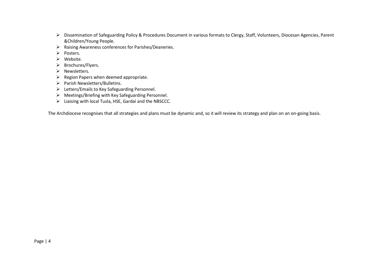- ➢ Dissemination of Safeguarding Policy & Procedures Document in various formats to Clergy, Staff, Volunteers, Diocesan Agencies, Parent &Children/Young People.
- ➢ Raising Awareness conferences for Parishes/Deaneries.
- ➢ Posters.
- ➢ Website.
- ➢ Brochures/Flyers.
- ➢ Newsletters.
- ➢ Region Papers when deemed appropriate.
- ➢ Parish Newsletters/Bulletins.
- ➢ Letters/Emails to Key Safeguarding Personnel.
- ➢ Meetings/Briefing with Key Safeguarding Personnel.
- ➢ Liaising with local Tusla, HSE, Gardaí and the NBSCCC.

The Archdiocese recognises that all strategies and plans must be dynamic and, so it will review its strategy and plan on an on-going basis.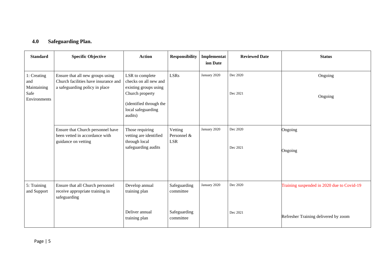# **4.0 Safeguarding Plan.**

| <b>Standard</b>                                           | <b>Specific Objective</b>                                                                                  | <b>Action</b>                                                                                                                                    | <b>Responsibility</b>                | Implementat<br>ion Date | <b>Reviewed Date</b> | <b>Status</b>                              |
|-----------------------------------------------------------|------------------------------------------------------------------------------------------------------------|--------------------------------------------------------------------------------------------------------------------------------------------------|--------------------------------------|-------------------------|----------------------|--------------------------------------------|
| 1: Creating<br>and<br>Maintaining<br>Safe<br>Environments | Ensure that all new groups using<br>Church facilities have insurance and<br>a safeguarding policy in place | LSR to complete<br>checks on all new and<br>existing groups using<br>Church property<br>(identified through the<br>local safeguarding<br>audits) | <b>LSRs</b>                          | January 2020            | Dec 2020<br>Dec 2021 | Ongoing<br>Ongoing                         |
|                                                           | Ensure that Church personnel have<br>been vetted in accordance with<br>guidance on vetting                 | Those requiring<br>vetting are identified<br>through local<br>safeguarding audits                                                                | Vetting<br>Personnel &<br><b>LSR</b> | January 2020            | Dec 2020<br>Dec 2021 | Ongoing<br>Ongoing                         |
| 5: Training<br>and Support                                | Ensure that all Church personnel<br>receive appropriate training in<br>safeguarding                        | Develop annual<br>training plan                                                                                                                  | Safeguarding<br>committee            | January 2020            | Dec 2020             | Training suspended in 2020 due to Covid-19 |
|                                                           |                                                                                                            | Deliver annual<br>training plan                                                                                                                  | Safeguarding<br>committee            |                         | Dec 2021             | Refresher Training delivered by zoom       |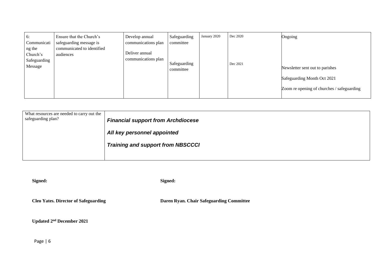| 6:                                | Ensure that the Church's                                           | Develop annual                        | Safeguarding              | January 2020 | Dec 2020 | Ongoing                                    |
|-----------------------------------|--------------------------------------------------------------------|---------------------------------------|---------------------------|--------------|----------|--------------------------------------------|
| Communicati<br>ng the<br>Church's | safeguarding message is<br>communicated to identified<br>audiences | communications plan<br>Deliver annual | committee                 |              |          |                                            |
| Safeguarding<br>Message           |                                                                    | communications plan                   | Safeguarding<br>committee |              | Dec 2021 | Newsletter sent out to parishes            |
|                                   |                                                                    |                                       |                           |              |          | Safeguarding Month Oct 2021                |
|                                   |                                                                    |                                       |                           |              |          | Zoom re opening of churches / safeguarding |

| What resources are needed to carry out the<br>safeguarding plan? | <b>Financial support from Archdiocese</b> |
|------------------------------------------------------------------|-------------------------------------------|
|                                                                  | All key personnel appointed               |
|                                                                  | <b>Training and support from NBSCCCI</b>  |
|                                                                  |                                           |

| Mgneo |
|-------|
|-------|

**Signed: Signed:**

**Cleo Yates. Director of Safeguarding Daren Ryan. Chair Safeguarding Committee**

**Updated 2nd December 2021**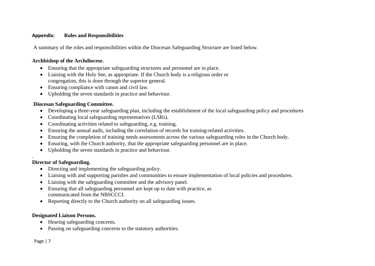#### **Appendix: Roles and Responsibilities**

A summary of the roles and responsibilities within the Diocesan Safeguarding Structure are listed below.

#### **Archbishop of the Archdiocese.**

- Ensuring that the appropriate safeguarding structures and personnel are in place.
- Liaising with the Holy See, as appropriate. If the Church body is a religious order or congregation, this is done through the superior general.
- Ensuring compliance with canon and civil law.
- Upholding the seven standards in practice and behaviour.

# **Diocesan Safeguarding Committee.**

- Developing a three-year safeguarding plan, including the establishment of the local safeguarding policy and procedures
- Coordinating local safeguarding representatives (LSRs).
- Coordinating activities related to safeguarding, e.g. training.
- Ensuring the annual audit, including the correlation of records for training-related activities.
- Ensuring the completion of training needs assessments across the various safeguarding roles in the Church body.
- Ensuring, with the Church authority, that the appropriate safeguarding personnel are in place.
- Upholding the seven standards in practice and behaviour.

# **Director of Safeguarding.**

- Directing and implementing the safeguarding policy.
- Liaising with and supporting parishes and communities to ensure implementation of local policies and procedures.
- Liaising with the safeguarding committee and the advisory panel.
- Ensuring that all safeguarding personnel are kept up to date with practice, as communicated from the NBSCCCI.
- Reporting directly to the Church authority on all safeguarding issues.

# **Designated Liaison Persons.**

- Hearing safeguarding concerns.
- Passing on safeguarding concerns to the statutory authorities.

.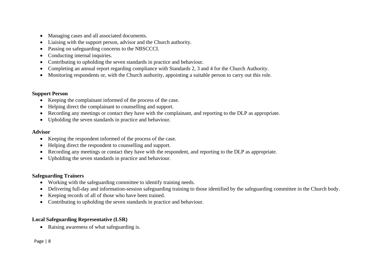- Managing cases and all associated documents.
- Liaising with the support person, advisor and the Church authority.
- Passing on safeguarding concerns to the NBSCCCI.
- Conducting internal inquiries.
- Contributing to upholding the seven standards in practice and behaviour.
- Completing an annual report regarding compliance with Standards 2, 3 and 4 for the Church Authority.
- Monitoring respondents or, with the Church authority, appointing a suitable person to carry out this role.

# **Support Person**

- Keeping the complainant informed of the process of the case.
- Helping direct the complainant to counselling and support.
- Recording any meetings or contact they have with the complainant, and reporting to the DLP as appropriate.
- Upholding the seven standards in practice and behaviour.

#### **Advisor**

- Keeping the respondent informed of the process of the case.
- Helping direct the respondent to counselling and support.
- Recording any meetings or contact they have with the respondent, and reporting to the DLP as appropriate.
- Upholding the seven standards in practice and behaviour.

# **Safeguarding Trainers**

- Working with the safeguarding committee to identify training needs.
- Delivering full-day and information-session safeguarding training to those identified by the safeguarding committee in the Church body.
- Keeping records of all of those who have been trained.
- Contributing to upholding the seven standards in practice and behaviour.

# **Local Safeguarding Representative (LSR)**

• Raising awareness of what safeguarding is.